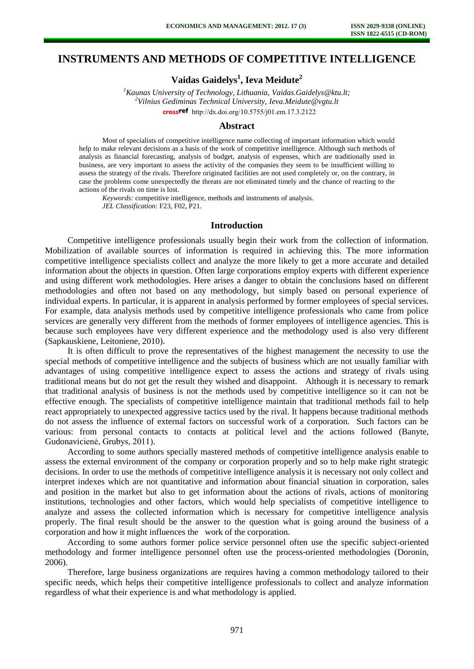# **INSTRUMENTS AND METHODS OF COMPETITIVE INTELLIGENCE**

**Vaidas Gaidelys<sup>1</sup> , Ieva Meidute<sup>2</sup>**

*<sup>1</sup>Kaunas University of Technology, Lithuania, [Vaidas.Gaidelys@ktu.lt;](mailto:Vaidas.Gaidelys@ktu.lt) <sup>2</sup>Vilnius Gediminas Technical University, [Ieva.Meidute@vgtu.lt](mailto:Ieva.Meidute@vgtu.lt)* cross<sup>ref</sup> [http://dx.doi.org/10.5755/j01.e](http://dx.doi.org/10.5755/j01.em.17.3.2122)m.17.3.2122

### **Abstract**

Most of specialists of competitive intelligence name collecting of important information which would help to make relevant decisions as a basis of the work of competitive intelligence. Although such methods of analysis as financial forecasting, analysis of budget, analysis of expenses, which are traditionally used in business, are very important to assess the activity of the companies they seem to be insufficient willing to assess the strategy of the rivals. Therefore originated facilities are not used completely or, on the contrary, in case the problems come unexpectedly the threats are not eliminated timely and the chance of reacting to the actions of the rivals on time is lost.

*Keywords:* competitive intelligence, methods and instruments of analysis. *JEL Classification*: F23, F02, P21.

## **Introduction**

Competitive intelligence professionals usually begin their work from the collection of information. Mobilization of available sources of information is required in achieving this. The more information competitive intelligence specialists collect and analyze the more likely to get a more accurate and detailed information about the objects in question. Often large corporations employ experts with different experience and using different work methodologies. Here arises a danger to obtain the conclusions based on different methodologies and often not based on any methodology, but simply based on personal experience of individual experts. In particular, it is apparent in analysis performed by former employees of special services. For example, data analysis methods used by competitive intelligence professionals who came from police services are generally very different from the methods of former employees of intelligence agencies. This is because such employees have very different experience and the methodology used is also very different (Sapkauskiene, Leitoniene, 2010).

It is often difficult to prove the representatives of the highest management the necessity to use the special methods of competitive intelligence and the subjects of business which are not usually familiar with advantages of using competitive intelligence expect to assess the actions and strategy of rivals using traditional means but do not get the result they wished and disappoint. Although it is necessary to remark that traditional analysis of business is not the methods used by competitive intelligence so it can not be effective enough. The specialists of competitive intelligence maintain that traditional methods fail to help react appropriately to unexpected aggressive tactics used by the rival. It happens because traditional methods do not assess the influence of external factors on successful work of a corporation. Such factors can be various: from personal contacts to contacts at political level and the actions followed (Banyte, Gudonavicienė, Grubys, 2011).

According to some authors specially mastered methods of competitive intelligence analysis enable to assess the external environment of the company or corporation properly and so to help make right strategic decisions. In order to use the methods of competitive intelligence analysis it is necessary not only collect and interpret indexes which are not quantitative and information about financial situation in corporation, sales and position in the market but also to get information about the actions of rivals, actions of monitoring institutions, technologies and other factors, which would help specialists of competitive intelligence to analyze and assess the collected information which is necessary for competitive intelligence analysis properly. The final result should be the answer to the question what is going around the business of a corporation and how it might influences the work of the corporation.

According to some authors former police service personnel often use the specific subject-oriented methodology and former intelligence personnel often use the process-oriented methodologies (Doronin, 2006).

Therefore, large business organizations are requires having a common methodology tailored to their specific needs, which helps their competitive intelligence professionals to collect and analyze information regardless of what their experience is and what methodology is applied.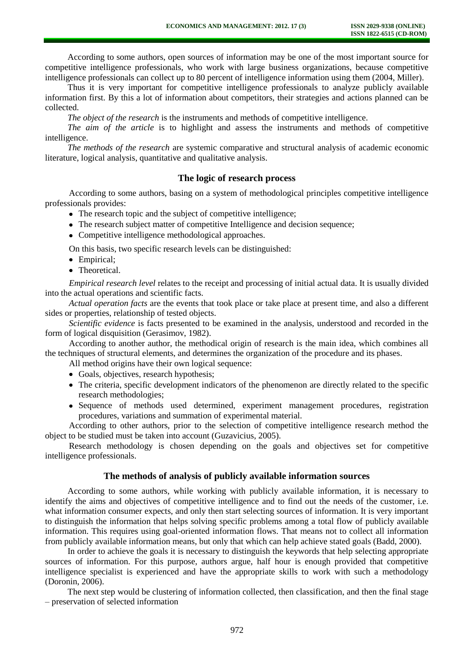According to some authors, open sources of information may be one of the most important source for competitive intelligence professionals, who work with large business organizations, because competitive intelligence professionals can collect up to 80 percent of intelligence information using them (2004, Miller).

Thus it is very important for competitive intelligence professionals to analyze publicly available information first. By this a lot of information about competitors, their strategies and actions planned can be collected.

*The object of the research* is the instruments and methods of competitive intelligence.

*The aim of the article* is to highlight and assess the instruments and methods of competitive intelligence.

*The methods of the research* are systemic comparative and structural analysis of academic economic literature, logical analysis, quantitative and qualitative analysis.

# **The logic of research process**

According to some authors, basing on a system of methodological principles competitive intelligence professionals provides:

- The research topic and the subject of competitive intelligence;
- The research subject matter of competitive Intelligence and decision sequence;

• Competitive intelligence methodological approaches.

- On this basis, two specific research levels can be distinguished:
- Empirical;
- Theoretical.

*Empirical research level* relates to the receipt and processing of initial actual data. It is usually divided into the actual operations and scientific facts.

*Actual operation facts* are the events that took place or take place at present time, and also a different sides or properties, relationship of tested objects.

*Scientific evidence* is facts presented to be examined in the analysis, understood and recorded in the form of logical disquisition (Gerasimov, 1982).

According to another author, the methodical origin of research is the main idea, which combines all the techniques of structural elements, and determines the organization of the procedure and its phases.

All method origins have their own logical sequence:

- Goals, objectives, research hypothesis;
- The criteria, specific development indicators of the phenomenon are directly related to the specific research methodologies;
- Sequence of methods used determined, experiment management procedures, registration procedures, variations and summation of experimental material.

According to other authors, prior to the selection of competitive intelligence research method the object to be studied must be taken into account (Guzavicius, 2005).

Research methodology is chosen depending on the goals and objectives set for competitive intelligence professionals.

# **The methods of analysis of publicly available information sources**

According to some authors, while working with publicly available information, it is necessary to identify the aims and objectives of competitive intelligence and to find out the needs of the customer, i.e. what information consumer expects, and only then start selecting sources of information. It is very important to distinguish the information that helps solving specific problems among a total flow of publicly available information. This requires using goal-oriented information flows. That means not to collect all information from publicly available information means, but only that which can help achieve stated goals (Badd, 2000).

In order to achieve the goals it is necessary to distinguish the keywords that help selecting appropriate sources of information. For this purpose, authors argue, half hour is enough provided that competitive intelligence specialist is experienced and have the appropriate skills to work with such a methodology (Doronin, 2006).

The next step would be clustering of information collected, then classification, and then the final stage – preservation of selected information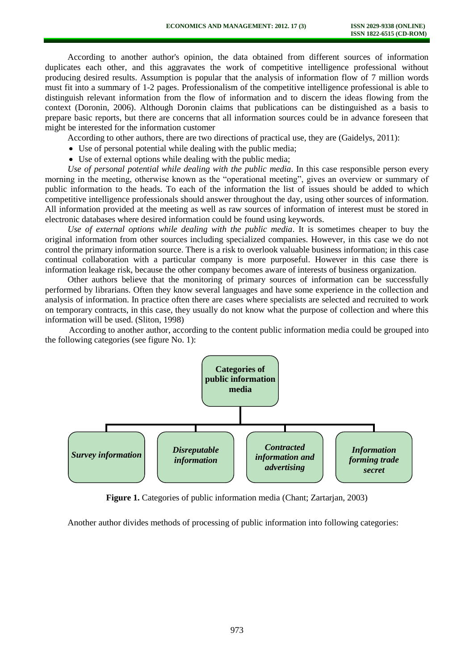According to another author's opinion, the data obtained from different sources of information duplicates each other, and this aggravates the work of competitive intelligence professional without producing desired results. Assumption is popular that the analysis of information flow of 7 million words must fit into a summary of 1-2 pages. Professionalism of the competitive intelligence professional is able to distinguish relevant information from the flow of information and to discern the ideas flowing from the context (Doronin, 2006). Although Doronin claims that publications can be distinguished as a basis to prepare basic reports, but there are concerns that all information sources could be in advance foreseen that might be interested for the information customer

According to other authors, there are two directions of practical use, they are (Gaidelys, 2011):

- Use of personal potential while dealing with the public media;
- Use of external options while dealing with the public media;

*Use of personal potential while dealing with the public media*. In this case responsible person every morning in the meeting, otherwise known as the "operational meeting", gives an overview or summary of public information to the heads. To each of the information the list of issues should be added to which competitive intelligence professionals should answer throughout the day, using other sources of information. All information provided at the meeting as well as raw sources of information of interest must be stored in electronic databases where desired information could be found using keywords.

*Use of external options while dealing with the public media*. It is sometimes cheaper to buy the original information from other sources including specialized companies. However, in this case we do not control the primary information source. There is a risk to overlook valuable business information; in this case continual collaboration with a particular company is more purposeful. However in this case there is information leakage risk, because the other company becomes aware of interests of business organization.

Other authors believe that the monitoring of primary sources of information can be successfully performed by librarians. Often they know several languages and have some experience in the collection and analysis of information. In practice often there are cases where specialists are selected and recruited to work on temporary contracts, in this case, they usually do not know what the purpose of collection and where this information will be used. (Sliton, 1998)

According to another author, according to the content public information media could be grouped into the following categories (see figure No. 1):



**Figure 1.** Categories of public information media (Chant; Zartarjan, 2003)

Another author divides methods of processing of public information into following categories: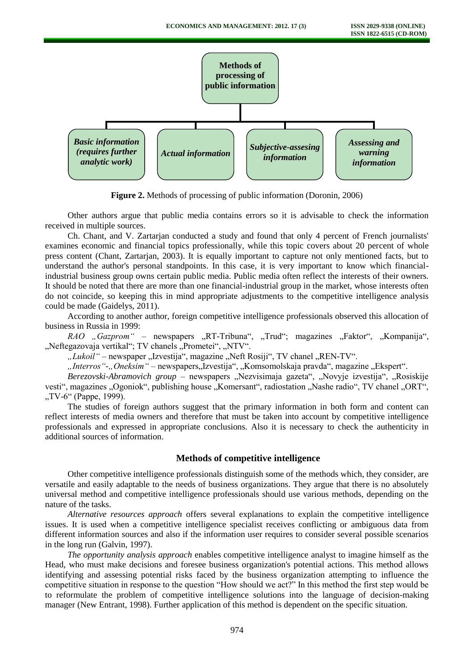

**Figure 2.** Methods of processing of public information (Doronin, 2006)

Other authors argue that public media contains errors so it is advisable to check the information received in multiple sources.

Ch. Chant, and V. Zartarjan conducted a study and found that only 4 percent of French journalists' examines economic and financial topics professionally, while this topic covers about 20 percent of whole press content (Chant, Zartarjan, 2003). It is equally important to capture not only mentioned facts, but to understand the author's personal standpoints. In this case, it is very important to know which financialindustrial business group owns certain public media. Public media often reflect the interests of their owners. It should be noted that there are more than one financial-industrial group in the market, whose interests often do not coincide, so keeping this in mind appropriate adjustments to the competitive intelligence analysis could be made (Gaidelys, 2011).

According to another author, foreign competitive intelligence professionals observed this allocation of business in Russia in 1999:

*RAO* "*Gazprom*" – newspapers "RT-Tribuna", "Trud"; magazines "Faktor", "Kompanija", "Neftegazovaja vertikal"; TV chanels "Prometei", "NTV".

"Lukoil" – newspaper "Izvestija", magazine "Neft Rosiji", TV chanel "REN-TV".

"*Interros"-"Oneksim"* – newspapers"Izvestija", "Komsomolskaja pravda", magazine "Ekspert".

Berezovski-Abramovich group - newspapers "Nezvisimaja gazeta", "Novyje izvestija", "Rosiskije vesti", magazines "Ogoniok", publishing house "Komersant", radiostation "Nashe radio", TV chanel "ORT", .TV-6" (Pappe, 1999).

The studies of foreign authors suggest that the primary information in both form and content can reflect interests of media owners and therefore that must be taken into account by competitive intelligence professionals and expressed in appropriate conclusions. Also it is necessary to check the authenticity in additional sources of information.

#### **Methods of competitive intelligence**

Other competitive intelligence professionals distinguish some of the methods which, they consider, are versatile and easily adaptable to the needs of business organizations. They argue that there is no absolutely universal method and competitive intelligence professionals should use various methods, depending on the nature of the tasks.

*Alternative resources approach* offers several explanations to explain the competitive intelligence issues. It is used when a competitive intelligence specialist receives conflicting or ambiguous data from different information sources and also if the information user requires to consider several possible scenarios in the long run (Galvin, 1997).

*The opportunity analysis approach* enables competitive intelligence analyst to imagine himself as the Head, who must make decisions and foresee business organization's potential actions. This method allows identifying and assessing potential risks faced by the business organization attempting to influence the competitive situation in response to the question "How should we act?" In this method the first step would be to reformulate the problem of competitive intelligence solutions into the language of decision-making manager (New Entrant, 1998). Further application of this method is dependent on the specific situation.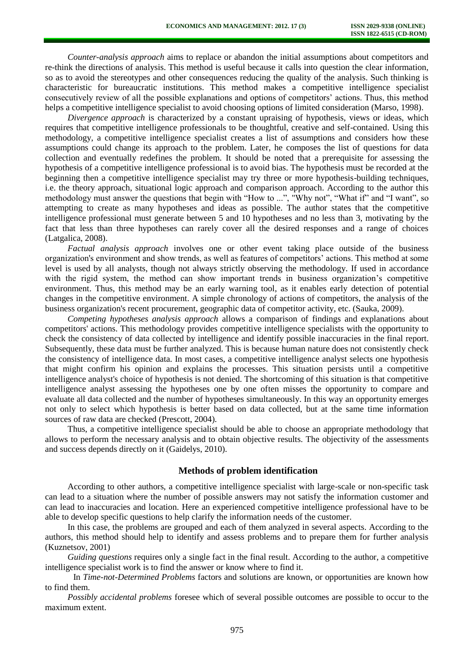*Counter-analysis approach* aims to replace or abandon the initial assumptions about competitors and re-think the directions of analysis. This method is useful because it calls into question the clear information, so as to avoid the stereotypes and other consequences reducing the quality of the analysis. Such thinking is characteristic for bureaucratic institutions. This method makes a competitive intelligence specialist consecutively review of all the possible explanations and options of competitors' actions. Thus, this method helps a competitive intelligence specialist to avoid choosing options of limited consideration (Marso, 1998).

*Divergence approach* is characterized by a constant upraising of hypothesis, views or ideas, which requires that competitive intelligence professionals to be thoughtful, creative and self-contained. Using this methodology, a competitive intelligence specialist creates a list of assumptions and considers how these assumptions could change its approach to the problem. Later, he composes the list of questions for data collection and eventually redefines the problem. It should be noted that a prerequisite for assessing the hypothesis of a competitive intelligence professional is to avoid bias. The hypothesis must be recorded at the beginning then a competitive intelligence specialist may try three or more hypothesis-building techniques, i.e. the theory approach, situational logic approach and comparison approach. According to the author this methodology must answer the questions that begin with "How to ...", "Why not", "What if" and "I want", so attempting to create as many hypotheses and ideas as possible. The author states that the competitive intelligence professional must generate between 5 and 10 hypotheses and no less than 3, motivating by the fact that less than three hypotheses can rarely cover all the desired responses and a range of choices (Latgalica, 2008).

*Factual analysis approach* involves one or other event taking place outside of the business organization's environment and show trends, as well as features of competitors' actions. This method at some level is used by all analysts, though not always strictly observing the methodology. If used in accordance with the rigid system, the method can show important trends in business organization's competitive environment. Thus, this method may be an early warning tool, as it enables early detection of potential changes in the competitive environment. A simple chronology of actions of competitors, the analysis of the business organization's recent procurement, geographic data of competitor activity, etc. (Sauka, 2009).

*Competing hypotheses analysis approach* allows a comparison of findings and explanations about competitors' actions. This methodology provides competitive intelligence specialists with the opportunity to check the consistency of data collected by intelligence and identify possible inaccuracies in the final report. Subsequently, these data must be further analyzed. This is because human nature does not consistently check the consistency of intelligence data. In most cases, a competitive intelligence analyst selects one hypothesis that might confirm his opinion and explains the processes. This situation persists until a competitive intelligence analyst's choice of hypothesis is not denied. The shortcoming of this situation is that competitive intelligence analyst assessing the hypotheses one by one often misses the opportunity to compare and evaluate all data collected and the number of hypotheses simultaneously. In this way an opportunity emerges not only to select which hypothesis is better based on data collected, but at the same time information sources of raw data are checked (Prescott, 2004).

Thus, a competitive intelligence specialist should be able to choose an appropriate methodology that allows to perform the necessary analysis and to obtain objective results. The objectivity of the assessments and success depends directly on it (Gaidelys, 2010).

### **Methods of problem identification**

According to other authors, a competitive intelligence specialist with large-scale or non-specific task can lead to a situation where the number of possible answers may not satisfy the information customer and can lead to inaccuracies and location. Here an experienced competitive intelligence professional have to be able to develop specific questions to help clarify the information needs of the customer.

In this case, the problems are grouped and each of them analyzed in several aspects. According to the authors, this method should help to identify and assess problems and to prepare them for further analysis (Kuznetsov, 2001)

*Guiding questions* requires only a single fact in the final result. According to the author, a competitive intelligence specialist work is to find the answer or know where to find it.

In *Time-not-Determined Problems* factors and solutions are known, or opportunities are known how to find them.

*Possibly accidental problems* foresee which of several possible outcomes are possible to occur to the maximum extent.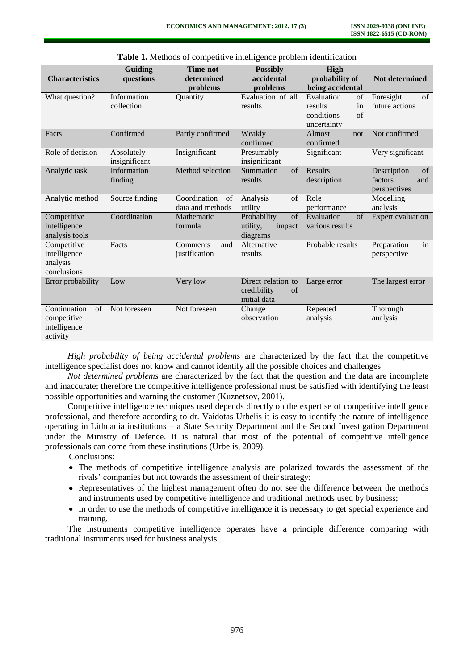| <b>Characteristics</b>                                        | Guiding<br>questions        | Time-not-<br>determined<br>problems    | <b>Possibly</b><br>accidental<br>problems               | High<br>probability of<br>being accidental                                   | Not determined                                      |
|---------------------------------------------------------------|-----------------------------|----------------------------------------|---------------------------------------------------------|------------------------------------------------------------------------------|-----------------------------------------------------|
| What question?                                                | Information<br>collection   | Quantity                               | Evaluation of all<br>results                            | Evaluation<br>of<br>results<br>in<br>conditions<br>$\sigma$ f<br>uncertainty | Foresight<br>of<br>future actions                   |
| Facts                                                         | Confirmed                   | Partly confirmed                       | Weakly<br>confirmed                                     | Almost<br>not<br>confirmed                                                   | Not confirmed                                       |
| Role of decision                                              | Absolutely<br>insignificant | Insignificant                          | Presumably<br>insignificant                             | Significant                                                                  | Very significant                                    |
| Analytic task                                                 | Information<br>finding      | Method selection                       | Summation<br>of<br>results                              | Results<br>description                                                       | Description<br>of<br>factors<br>and<br>perspectives |
| Analytic method                                               | Source finding              | Coordination<br>of<br>data and methods | of<br>Analysis<br>utility                               | Role<br>performance                                                          | Modelling<br>analysis                               |
| Competitive<br>intelligence<br>analysis tools                 | Coordination                | Mathematic<br>formula                  | of<br>Probability<br>utility,<br>impact<br>diagrams     | Evaluation<br>of<br>various results                                          | Expert evaluation                                   |
| Competitive<br>intelligence<br>analysis<br>conclusions        | Facts                       | Comments<br>and<br>justification       | Alternative<br>results                                  | Probable results                                                             | in<br>Preparation<br>perspective                    |
| Error probability                                             | Low                         | Very low                               | Direct relation to<br>credibility<br>of<br>initial data | Large error                                                                  | The largest error                                   |
| Continuation<br>of<br>competitive<br>intelligence<br>activity | Not foreseen                | Not foreseen                           | Change<br>observation                                   | Repeated<br>analysis                                                         | Thorough<br>analysis                                |

**Table 1.** Methods of competitive intelligence problem identification

*High probability of being accidental problems* are characterized by the fact that the competitive intelligence specialist does not know and cannot identify all the possible choices and challenges

*Not determined problems* are characterized by the fact that the question and the data are incomplete and inaccurate; therefore the competitive intelligence professional must be satisfied with identifying the least possible opportunities and warning the customer (Kuznetsov, 2001).

Competitive intelligence techniques used depends directly on the expertise of competitive intelligence professional, and therefore according to dr. Vaidotas Urbelis it is easy to identify the nature of intelligence operating in Lithuania institutions – a State Security Department and the Second Investigation Department under the Ministry of Defence. It is natural that most of the potential of competitive intelligence professionals can come from these institutions (Urbelis, 2009).

Conclusions:

- The methods of competitive intelligence analysis are polarized towards the assessment of the rivals' companies but not towards the assessment of their strategy;
- Representatives of the highest management often do not see the difference between the methods and instruments used by competitive intelligence and traditional methods used by business;
- In order to use the methods of competitive intelligence it is necessary to get special experience and training.

The instruments competitive intelligence operates have a principle difference comparing with traditional instruments used for business analysis.